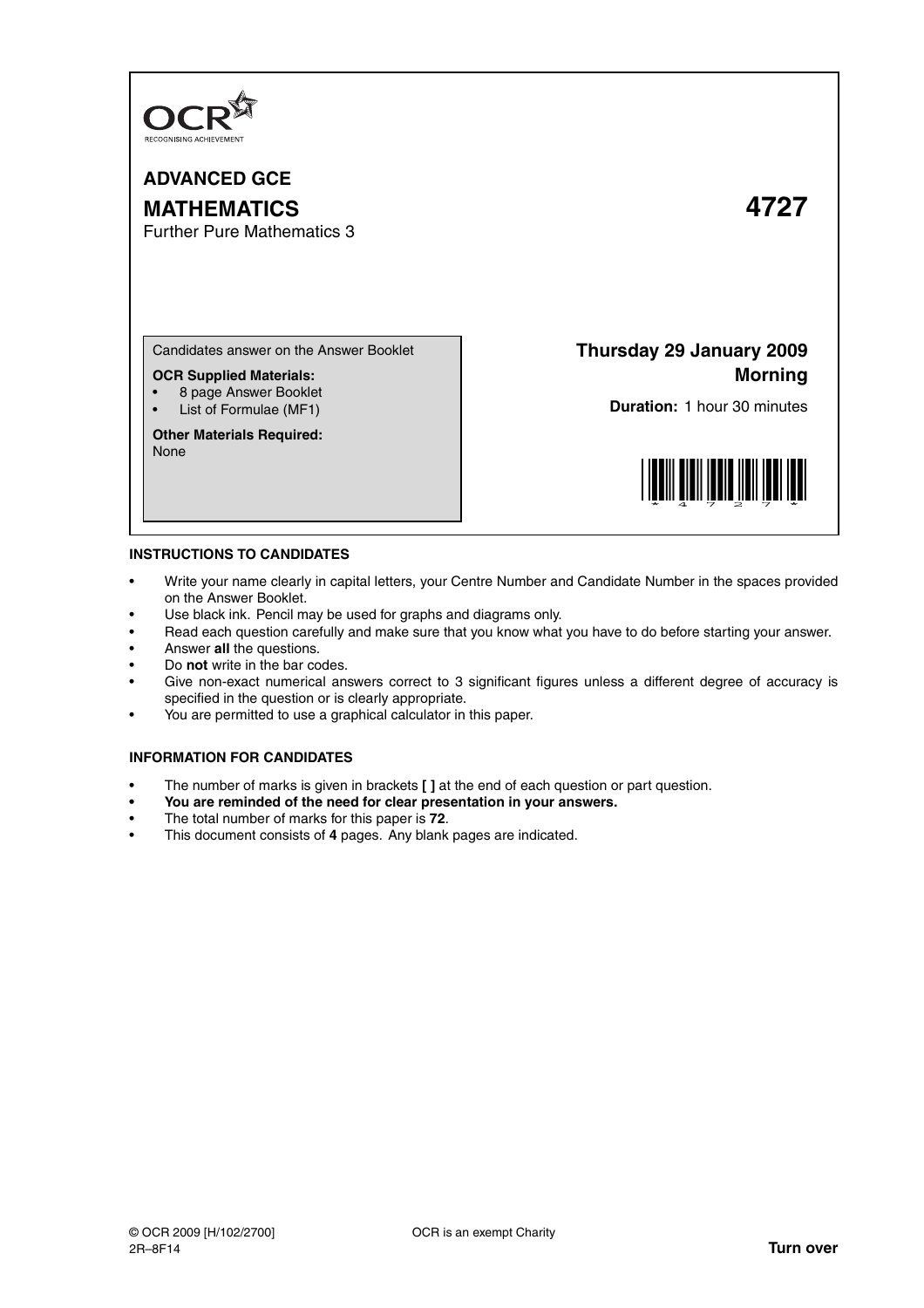

**ADVANCED GCE MATHEMATICS 4727** Further Pure Mathematics 3

Candidates answer on the Answer Booklet

**OCR Supplied Materials:**

- 8 page Answer Booklet
- List of Formulae (MF1)

**Other Materials Required:** None

**Thursday 29 January 2009 Morning**

**Duration:** 1 hour 30 minutes



## **INSTRUCTIONS TO CANDIDATES**

- Write your name clearly in capital letters, your Centre Number and Candidate Number in the spaces provided on the Answer Booklet.
- Use black ink. Pencil may be used for graphs and diagrams only.
- Read each question carefully and make sure that you know what you have to do before starting your answer.
- Answer **all** the questions.
- Do **not** write in the bar codes.
- Give non-exact numerical answers correct to 3 significant figures unless a different degree of accuracy is specified in the question or is clearly appropriate.
- You are permitted to use a graphical calculator in this paper.

## **INFORMATION FOR CANDIDATES**

- The number of marks is given in brackets **[ ]** at the end of each question or part question.
- **You are reminded of the need for clear presentation in your answers.**
- The total number of marks for this paper is **72**.
- This document consists of **4** pages. Any blank pages are indicated.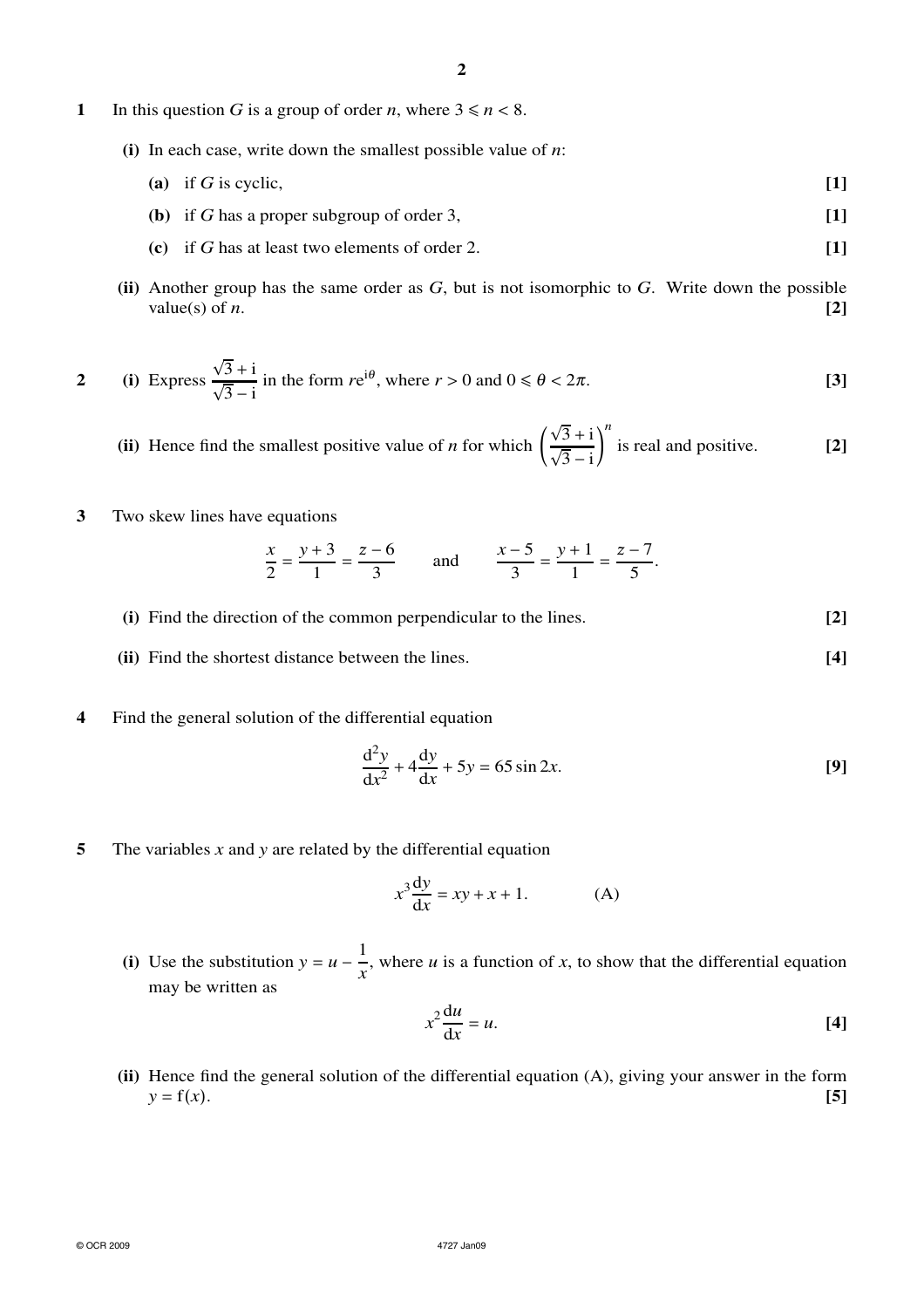- **1** In this question *G* is a group of order *n*, where  $3 \le n < 8$ .
	- **(i)** In each case, write down the smallest possible value of *n*:
		- **(a)** if *G* is cyclic, **[1]**
		- **(b)** if *G* has a proper subgroup of order 3, **[1]**
		- **(c)** if *G* has at least two elements of order 2. **[1]**
	- **(ii)** Another group has the same order as *G*, but is not isomorphic to *G*. Write down the possible value(s) of *n*.  $[2]$

2 (i) Express 
$$
\frac{\sqrt{3}+i}{\sqrt{3}-i}
$$
 in the form  $re^{i\theta}$ , where  $r > 0$  and  $0 \le \theta < 2\pi$ . [3]

**(ii)** Hence find the smallest positive value of  $n$  for which  $\left($  $\frac{\sqrt{3}+i}{\sqrt{3}-i}$ *n* is real and positive. **[2]**

**3** Two skew lines have equations

$$
\frac{x}{2} = \frac{y+3}{1} = \frac{z-6}{3} \quad \text{and} \quad \frac{x-5}{3} = \frac{y+1}{1} = \frac{z-7}{5}.
$$

- **(i)** Find the direction of the common perpendicular to the lines. **[2] (ii)** Find the shortest distance between the lines. **[4]**
- **4** Find the general solution of the differential equation

$$
\frac{\mathrm{d}^2 y}{\mathrm{d}x^2} + 4\frac{\mathrm{d}y}{\mathrm{d}x} + 5y = 65\sin 2x.
$$
 [9]

**5** The variables *x* and *y* are related by the differential equation

$$
x^3 \frac{dy}{dx} = xy + x + 1.
$$
 (A)

**(i)** Use the substitution  $y = u - \frac{1}{x}$  $\frac{1}{x}$ , where *u* is a function of *x*, to show that the differential equation may be written as

$$
x^2 \frac{\mathrm{d}u}{\mathrm{d}x} = u. \tag{4}
$$

**(ii)** Hence find the general solution of the differential equation (A), giving your answer in the form  $y = f(x)$ . **[5]**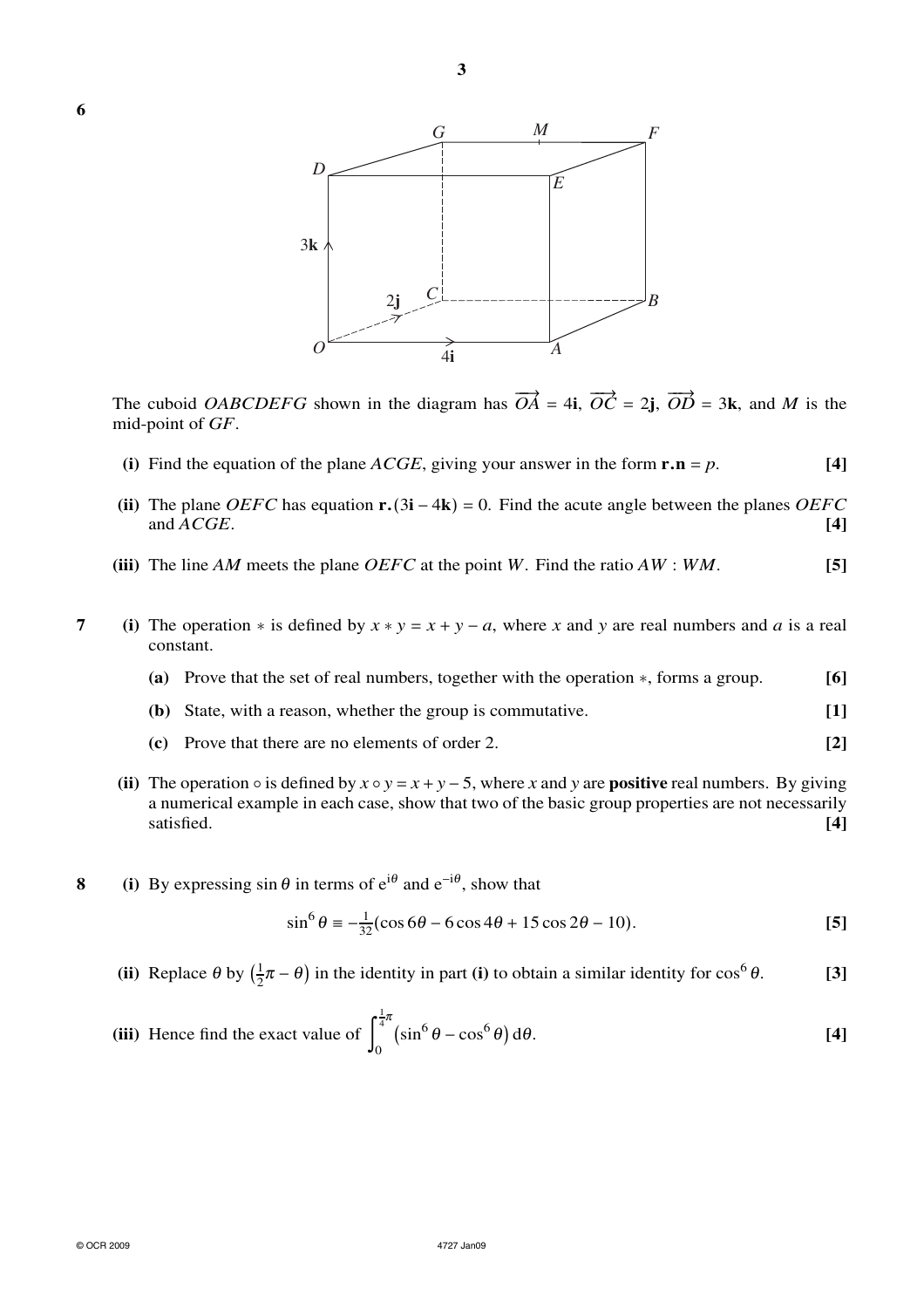



The cuboid *OABCDEFG* shown in the diagram has  $\overrightarrow{OA} = 4i$ ,  $\overrightarrow{OC} = 2j$ ,  $\overrightarrow{OD} = 3k$ , and *M* is the mid-point of *GF*.

- **(i)** Find the equation of the plane *ACGE*, giving your answer in the form  $\mathbf{r} \cdot \mathbf{n} = p$ . [4]
- **(ii)** The plane *OEFC* has equation **r.**(3**i** − 4**k**) = 0. Find the acute angle between the planes *OEFC* and *ACGE*. **[4]**
- **(iii)** The line *AM* meets the plane *OEFC* at the point *W*. Find the ratio *AW* : *WM*. **[5]**
- **7** (i) The operation  $*$  is defined by  $x * y = x + y a$ , where *x* and *y* are real numbers and *a* is a real constant.
	- **(a)** Prove that the set of real numbers, together with the operation ∗, forms a group. **[6]**
	- **(b)** State, with a reason, whether the group is commutative. **[1]**
	- **(c)** Prove that there are no elements of order 2. **[2]**
	- (ii) The operation  $\circ$  is defined by  $x \circ y = x + y 5$ , where *x* and *y* are **positive** real numbers. By giving a numerical example in each case, show that two of the basic group properties are not necessarily satisfied. **[4]**
- **8** (i) By expressing  $\sin \theta$  in terms of  $e^{i\theta}$  and  $e^{-i\theta}$ , show that

$$
\sin^6 \theta \equiv -\frac{1}{32} (\cos 6\theta - 6\cos 4\theta + 15\cos 2\theta - 10). \tag{5}
$$

**(ii)** Replace  $\theta$  by  $\left(\frac{1}{2}\right)$  $\frac{1}{2}\pi - \theta$ ) in the identity in part **(i)** to obtain a similar identity for  $\cos^6$ <sup>θ</sup>. **[3]**

(iii) Hence find the exact value of 
$$
\int_0^{\frac{1}{4}\pi} (\sin^6 \theta - \cos^6 \theta) d\theta.
$$
 [4]